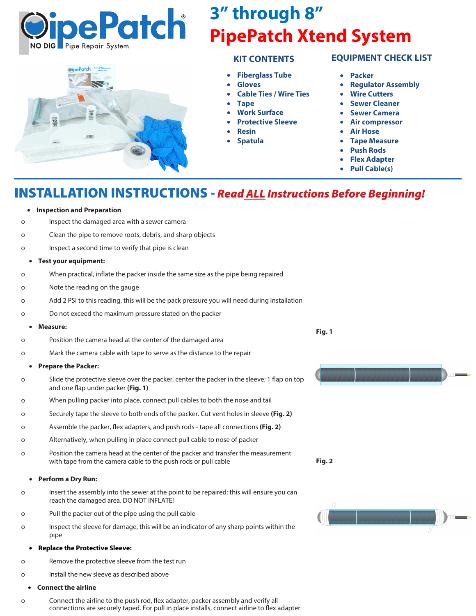

# **3" through 8" PipePatch Xtend System**

- **Fiberglass Tube**
- **Gloves**
- **Cable Ties / Wire Ties**
- **Tape**
- **Work Surface**
- **Protective Sleeve**
- **Resin**
- **Spatula**

### **KIT CONTENTS EQUIPMENT CHECK LIST**

- **Packer**
- **Regulator Assembly**
- **Wire Cutters**
- **Sewer Cleaner**
- **Sewer Camera**
- **Air compressor**
- **Air Hose**
- **Tape Measure**
- **Push Rods**
- **Flex Adapter**
- **Pull Cable(s)**

## INSTALLATION INSTRUCTIONS **-** *Read ALL Instructions Before Beginning!*

#### • **Inspection and Preparation**

- o Inspect the damaged area with a sewer camera
- o Clean the pipe to remove roots, debris, and sharp objects
- o Inspect a second time to verify that pipe is clean
	- **Test your equipment:**
- o When practical, inflate the packer inside the same size as the pipe being repaired
- o Note the reading on the gauge
- o Add 2 PSI to this reading, this will be the pack pressure you will need during installation
- o Do not exceed the maximum pressure stated on the packer

#### • **Measure:**

- o Position the camera head at the center of the damaged area
- o Mark the camera cable with tape to serve as the distance to the repair

#### • **Prepare the Packer:**

- o Slide the protective sleeve over the packer, center the packer in the sleeve; 1 flap on top and one flap under packer **(Fig. 1)**
- o When pulling packer into place, connect pull cables to both the nose and tail
- o Securely tape the sleeve to both ends of the packer. Cut vent holes in sleeve **(Fig. 2)**
- o Assemble the packer, flex adapters, and push rods tape all connections **(Fig. 2)**
- o Alternatively, when pulling in place connect pull cable to nose of packer
- o Position the camera head at the center of the packer and transfer the measurement with tape from the camera cable to the push rods or pull cable

#### • **Perform a Dry Run:**

- o Insert the assembly into the sewer at the point to be repaired; this will ensure you can reach the damaged area. DO NOT INFLATE!
- o Pull the packer out of the pipe using the pull cable
- o Inspect the sleeve for damage, this will be an indicator of any sharp points within the pipe

### • **Replace the Protective Sleeve:**

- o Remove the protective sleeve from the test run
- o Install the new sleeve as described above

#### • **Connect the airline**

o Connect the airline to the push rod, flex adapter, packer assembly and verify all connections are securely taped. For pull in place installs, connect airline to flex adapter

#### **Fig. 1**

**Fig. 2**